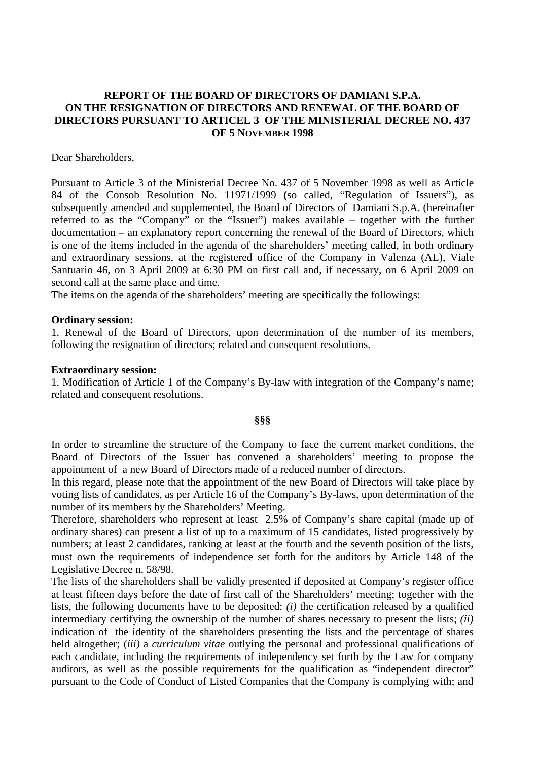## **REPORT OF THE BOARD OF DIRECTORS OF DAMIANI S.P.A. ON THE RESIGNATION OF DIRECTORS AND RENEWAL OF THE BOARD OF DIRECTORS PURSUANT TO ARTICEL 3 OF THE MINISTERIAL DECREE NO. 437 OF 5 NOVEMBER 1998**

Dear Shareholders,

Pursuant to Article 3 of the Ministerial Decree No. 437 of 5 November 1998 as well as Article 84 of the Consob Resolution No. 11971/1999 **(**so called, "Regulation of Issuers"), as subsequently amended and supplemented, the Board of Directors of Damiani S.p.A. (hereinafter referred to as the "Company" or the "Issuer") makes available – together with the further documentation – an explanatory report concerning the renewal of the Board of Directors, which is one of the items included in the agenda of the shareholders' meeting called, in both ordinary and extraordinary sessions, at the registered office of the Company in Valenza (AL), Viale Santuario 46, on 3 April 2009 at 6:30 PM on first call and, if necessary, on 6 April 2009 on second call at the same place and time.

The items on the agenda of the shareholders' meeting are specifically the followings:

## **Ordinary session:**

1. Renewal of the Board of Directors, upon determination of the number of its members, following the resignation of directors; related and consequent resolutions.

## **Extraordinary session:**

1. Modification of Article 1 of the Company's By-law with integration of the Company's name; related and consequent resolutions.

## **§§§**

In order to streamline the structure of the Company to face the current market conditions, the Board of Directors of the Issuer has convened a shareholders' meeting to propose the appointment of a new Board of Directors made of a reduced number of directors.

In this regard, please note that the appointment of the new Board of Directors will take place by voting lists of candidates, as per Article 16 of the Company's By-laws, upon determination of the number of its members by the Shareholders' Meeting.

Therefore, shareholders who represent at least 2.5% of Company's share capital (made up of ordinary shares) can present a list of up to a maximum of 15 candidates, listed progressively by numbers; at least 2 candidates, ranking at least at the fourth and the seventh position of the lists, must own the requirements of independence set forth for the auditors by Article 148 of the Legislative Decree n. 58/98.

The lists of the shareholders shall be validly presented if deposited at Company's register office at least fifteen days before the date of first call of the Shareholders' meeting; together with the lists, the following documents have to be deposited: *(i)* the certification released by a qualified intermediary certifying the ownership of the number of shares necessary to present the lists; *(ii)* indication of the identity of the shareholders presenting the lists and the percentage of shares held altogether; (*iii)* a *curriculum vitae* outlying the personal and professional qualifications of each candidate, including the requirements of independency set forth by the Law for company auditors, as well as the possible requirements for the qualification as "independent director" pursuant to the Code of Conduct of Listed Companies that the Company is complying with; and